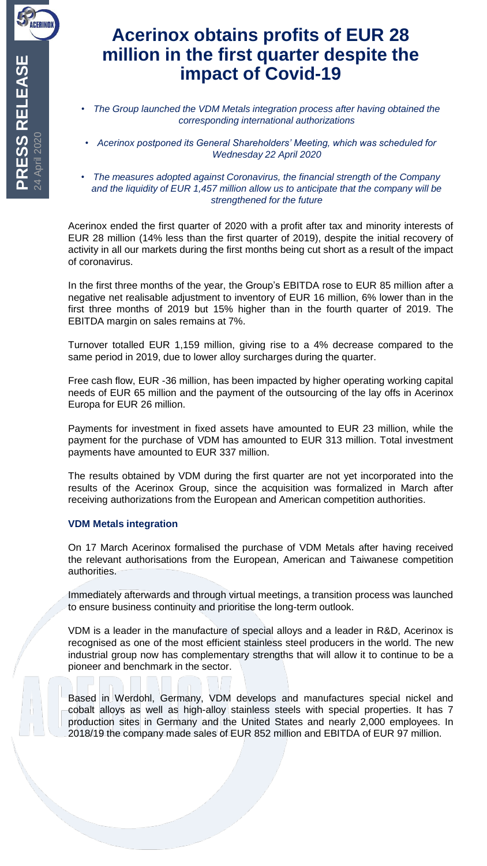## **Acerinox obtains profits of EUR 28 million in the first quarter despite the impact of Covid-19**

- *The Group launched the VDM Metals integration process after having obtained the corresponding international authorizations*
- *Acerinox postponed its General Shareholders' Meeting, which was scheduled for Wednesday 22 April 2020*
- *The measures adopted against Coronavirus, the financial strength of the Company and the liquidity of EUR 1,457 million allow us to anticipate that the company will be strengthened for the future*

Acerinox ended the first quarter of 2020 with a profit after tax and minority interests of EUR 28 million (14% less than the first quarter of 2019), despite the initial recovery of activity in all our markets during the first months being cut short as a result of the impact of coronavirus.

In the first three months of the year, the Group's EBITDA rose to EUR 85 million after a negative net realisable adjustment to inventory of EUR 16 million, 6% lower than in the first three months of 2019 but 15% higher than in the fourth quarter of 2019. The EBITDA margin on sales remains at 7%.

Turnover totalled EUR 1,159 million, giving rise to a 4% decrease compared to the same period in 2019, due to lower alloy surcharges during the quarter.

Free cash flow, EUR -36 million, has been impacted by higher operating working capital needs of EUR 65 million and the payment of the outsourcing of the lay offs in Acerinox Europa for EUR 26 million.

Payments for investment in fixed assets have amounted to EUR 23 million, while the payment for the purchase of VDM has amounted to EUR 313 million. Total investment payments have amounted to EUR 337 million.

The results obtained by VDM during the first quarter are not yet incorporated into the results of the Acerinox Group, since the acquisition was formalized in March after receiving authorizations from the European and American competition authorities.

## **VDM Metals integration**

On 17 March Acerinox formalised the purchase of VDM Metals after having received the relevant authorisations from the European, American and Taiwanese competition authorities.

Immediately afterwards and through virtual meetings, a transition process was launched to ensure business continuity and prioritise the long-term outlook.

VDM is a leader in the manufacture of special alloys and a leader in R&D, Acerinox is recognised as one of the most efficient stainless steel producers in the world. The new industrial group now has complementary strengths that will allow it to continue to be a pioneer and benchmark in the sector.

Based in Werdohl, Germany, VDM develops and manufactures special nickel and cobalt alloys as well as high-alloy stainless steels with special properties. It has 7 production sites in Germany and the United States and nearly 2,000 employees. In 2018/19 the company made sales of EUR 852 million and EBITDA of EUR 97 million.